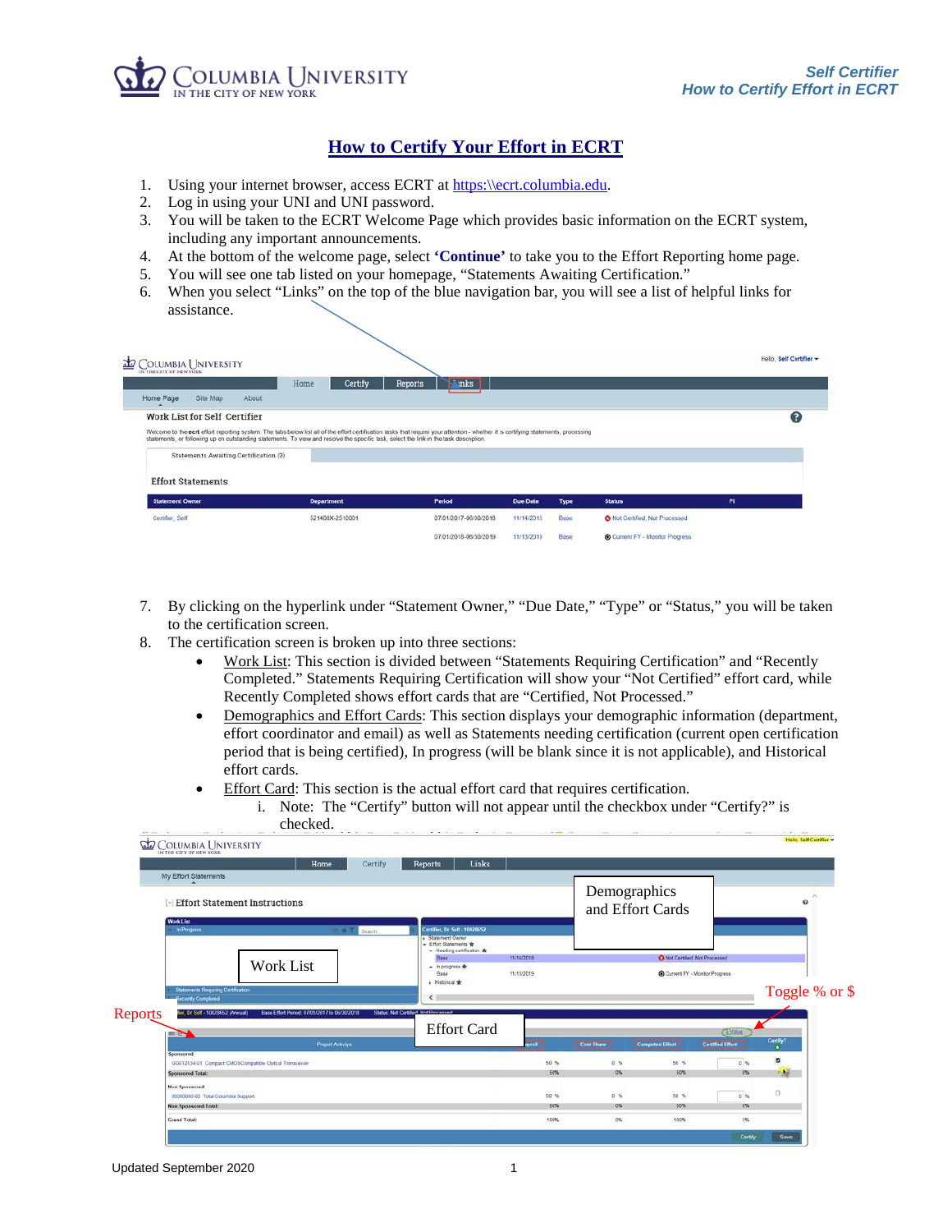

Hello, Self Certifier -

## **How to Certify Your Effort in ECRT**

- 1. Using your internet browser, access ECRT at [https:\\ecrt.columbia.edu.](https://ecrt.columbia.edu/)
- 2. Log in using your UNI and UNI password.
- 3. You will be taken to the ECRT Welcome Page which provides basic information on the ECRT system, including any important announcements.
- 4. At the bottom of the welcome page, select **'Continue'** to take you to the Effort Reporting home page.
- 5. You will see one tab listed on your homepage, "Statements Awaiting Certification."
- 6. When you select "Links" on the top of the blue navigation bar, you will see a list of helpful links for assistance.

## **D** COLUMBIA UNIV

| IN THE CITY OF NEW YORK                                                                                                                                                                                              | Home | Certify           | Reports | <b>Tinks</b>          |                 |             |                                       |     |   |
|----------------------------------------------------------------------------------------------------------------------------------------------------------------------------------------------------------------------|------|-------------------|---------|-----------------------|-----------------|-------------|---------------------------------------|-----|---|
| About<br>Home Page<br>Site Map                                                                                                                                                                                       |      |                   |         |                       |                 |             |                                       |     |   |
| Work List for Self Certifier<br>Welcome to the ecrt effort reporting system. The tabs below list all of the effort certification tasks that require your attention - whether it is certifying statements, processing |      |                   |         |                       |                 |             |                                       |     | ๏ |
| statements, or following up on outstanding statements. To view and resolve the specific task, select the link in the task description.                                                                               |      |                   |         |                       |                 |             |                                       |     |   |
| Statements Awaiting Certification (2)                                                                                                                                                                                |      |                   |         |                       |                 |             |                                       |     |   |
|                                                                                                                                                                                                                      |      |                   |         |                       |                 |             |                                       |     |   |
|                                                                                                                                                                                                                      |      | <b>Department</b> |         | Period                | <b>Due Date</b> | <b>Type</b> | <b>Status</b>                         | PI. |   |
| <b>Effort Statements</b><br><b>Statement Owner</b><br>Certifier, Self                                                                                                                                                |      | 521400X-2510001   |         | 07/01/2017-06/30/2018 | 11/14/2018      | Base        | <b>3</b> Not Certified, Not Processed |     |   |

- 7. By clicking on the hyperlink under "Statement Owner," "Due Date," "Type" or "Status," you will be taken to the certification screen.
- 8. The certification screen is broken up into three sections:
	- Work List: This section is divided between "Statements Requiring Certification" and "Recently Completed." Statements Requiring Certification will show your "Not Certified" effort card, while Recently Completed shows effort cards that are "Certified, Not Processed."
	- Demographics and Effort Cards: This section displays your demographic information (department, effort coordinator and email) as well as Statements needing certification (current open certification period that is being certified), In progress (will be blank since it is not applicable), and Historical effort cards.
	- Effort Card: This section is the actual effort card that requires certification.
		- i. Note: The "Certify" button will not appear until the checkbox under "Certify?" is checked.

| My Effort Statements<br><b>Effort Statement Instructions</b>                                                             |                                                                                                                                                                      |                          |             | Demographics<br>and Effort Cards                                       |                         | ø                              |
|--------------------------------------------------------------------------------------------------------------------------|----------------------------------------------------------------------------------------------------------------------------------------------------------------------|--------------------------|-------------|------------------------------------------------------------------------|-------------------------|--------------------------------|
| <b>Work List</b><br>in Progress<br>公告了<br>Swarch.<br>Work List<br>Statements Requiring Certification                     | Certifier, Dr Self . 1002852<br><b>De Statement Owner</b><br>- Effort Statements *<br>- Needing certification *<br>Base<br>- In progress *<br>Base<br>> Historical * | 11/14/2018<br>11/13/2019 |             | <b>C</b> Not Certified, Not Processed<br>Current FY - Monitor Progress |                         |                                |
| <b>Recently Completed</b><br>Reports<br>ier, Dr Self - 10028652 (Annual)<br>Base Effort Period: 07/01/2017 to 06/30/2018 | $\left\langle \right\rangle$<br>Status: Not Certified: Not Processed                                                                                                 |                          |             |                                                                        |                         | Toggle % or \$                 |
|                                                                                                                          |                                                                                                                                                                      |                          |             |                                                                        | <b>CEVANNE</b>          |                                |
| --<br>Project-Activitys                                                                                                  | <b>Effort Card</b>                                                                                                                                                   | reali.                   | Cost Share  | <b>Computed Effort</b>                                                 | <b>Certified Effort</b> | $rac{1}{2}$                    |
| Sponsored<br>GG012534-01 Compact CMOSCompatible Optcal Transceiver<br>Sponsored Total:                                   |                                                                                                                                                                      | 50 %<br>50%              | 0.56<br>10% | 50 %<br>50%                                                            | 0.16<br>0%              | $\blacksquare$<br>$\mathbb{R}$ |
| <b>Non Sponscred</b><br>00000000-00 Total Columbia Support<br><b>Non Sponscred Total:</b>                                |                                                                                                                                                                      | 50 %<br>50%              | 0.56<br>0%  | 50%<br>50%                                                             | 0.76<br>0%              | $\Box$                         |